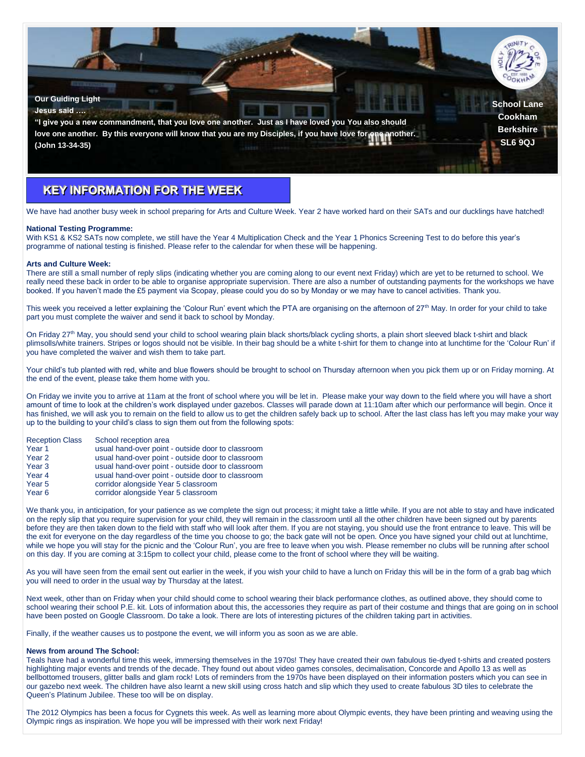

# **KEY INFORMATION FOR THE WEEK**

We have had another busy week in school preparing for Arts and Culture Week. Year 2 have worked hard on their SATs and our ducklings have hatched!

#### **National Testing Programme:**

With KS1 & KS2 SATs now complete, we still have the Year 4 Multiplication Check and the Year 1 Phonics Screening Test to do before this year's programme of national testing is finished. Please refer to the calendar for when these will be happening.

#### **Arts and Culture Week:**

There are still a small number of reply slips (indicating whether you are coming along to our event next Friday) which are yet to be returned to school. We really need these back in order to be able to organise appropriate supervision. There are also a number of outstanding payments for the workshops we have booked. If you haven't made the £5 payment via Scopay, please could you do so by Monday or we may have to cancel activities. Thank you.

This week you received a letter explaining the 'Colour Run' event which the PTA are organising on the afternoon of 27<sup>th</sup> May. In order for your child to take part you must complete the waiver and send it back to school by Monday.

On Friday 27<sup>th</sup> May, you should send your child to school wearing plain black shorts/black cycling shorts, a plain short sleeved black t-shirt and black plimsolls/white trainers. Stripes or logos should not be visible. In their bag should be a white t-shirt for them to change into at lunchtime for the 'Colour Run' if you have completed the waiver and wish them to take part.

Your child's tub planted with red, white and blue flowers should be brought to school on Thursday afternoon when you pick them up or on Friday morning. At the end of the event, please take them home with you.

On Friday we invite you to arrive at 11am at the front of school where you will be let in. Please make your way down to the field where you will have a short amount of time to look at the children's work displayed under gazebos. Classes will parade down at 11:10am after which our performance will begin. Once it has finished, we will ask you to remain on the field to allow us to get the children safely back up to school. After the last class has left you may make your way up to the building to your child's class to sign them out from the following spots:

## Reception Class School reception area

| Year 1                      | usual hand-over point - outside door to classroom |
|-----------------------------|---------------------------------------------------|
| Year 2                      | usual hand-over point - outside door to classroom |
| Year 3                      | usual hand-over point - outside door to classroom |
| $V_{\text{corr}}$ $\Lambda$ | usual band over point outside deer to elegencem   |

- Year 4 usual hand-over point outside door to classroom
- Year 5 corridor alongside Year 5 classroom
- Year 6 corridor alongside Year 5 classroom

We thank you, in anticipation, for your patience as we complete the sign out process; it might take a little while. If you are not able to stay and have indicated on the reply slip that you require supervision for your child, they will remain in the classroom until all the other children have been signed out by parents before they are then taken down to the field with staff who will look after them. If you are not staying, you should use the front entrance to leave. This will be the exit for everyone on the day regardless of the time you choose to go; the back gate will not be open. Once you have signed your child out at lunchtime, while we hope you will stay for the picnic and the 'Colour Run', you are free to leave when you wish. Please remember no clubs will be running after school on this day. If you are coming at 3:15pm to collect your child, please come to the front of school where they will be waiting.

As you will have seen from the email sent out earlier in the week, if you wish your child to have a lunch on Friday this will be in the form of a grab bag which you will need to order in the usual way by Thursday at the latest.

Next week, other than on Friday when your child should come to school wearing their black performance clothes, as outlined above, they should come to school wearing their school P.E. kit. Lots of information about this, the accessories they require as part of their costume and things that are going on in school have been posted on Google Classroom. Do take a look. There are lots of interesting pictures of the children taking part in activities.

Finally, if the weather causes us to postpone the event, we will inform you as soon as we are able.

#### **News from around The School:**

Teals have had a wonderful time this week, immersing themselves in the 1970s! They have created their own fabulous tie-dyed t-shirts and created posters highlighting major events and trends of the decade. They found out about video games consoles, decimalisation, Concorde and Apollo 13 as well as bellbottomed trousers, glitter balls and glam rock! Lots of reminders from the 1970s have been displayed on their information posters which you can see in our gazebo next week. The children have also learnt a new skill using cross hatch and slip which they used to create fabulous 3D tiles to celebrate the Queen's Platinum Jubilee. These too will be on display.

The 2012 Olympics has been a focus for Cygnets this week. As well as learning more about Olympic events, they have been printing and weaving using the Olympic rings as inspiration. We hope you will be impressed with their work next Friday!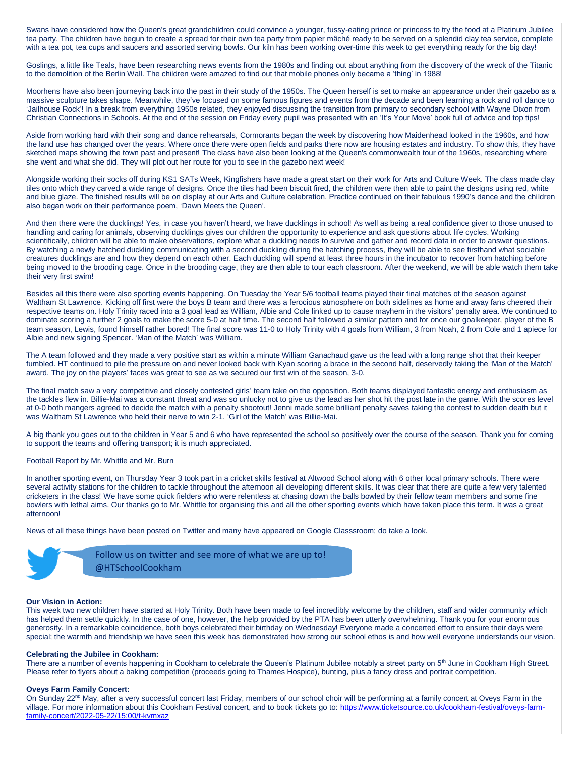Swans have considered how the Queen's great grandchildren could convince a younger, fussy-eating prince or princess to try the food at a Platinum Jubilee tea party. The children have begun to create a spread for their own tea party from papier mâché ready to be served on a splendid clay tea service, complete with a tea pot, tea cups and saucers and assorted serving bowls. Our kiln has been working over-time this week to get everything ready for the big day!

Goslings, a little like Teals, have been researching news events from the 1980s and finding out about anything from the discovery of the wreck of the Titanic to the demolition of the Berlin Wall. The children were amazed to find out that mobile phones only became a 'thing' in 1988!

Moorhens have also been journeying back into the past in their study of the 1950s. The Queen herself is set to make an appearance under their gazebo as a massive sculpture takes shape. Meanwhile, they've focused on some famous figures and events from the decade and been learning a rock and roll dance to 'Jailhouse Rock'! In a break from everything 1950s related, they enjoyed discussing the transition from primary to secondary school with Wayne Dixon from Christian Connections in Schools. At the end of the session on Friday every pupil was presented with an 'It's Your Move' book full of advice and top tips!

Aside from working hard with their song and dance rehearsals, Cormorants began the week by discovering how Maidenhead looked in the 1960s, and how the land use has changed over the years. Where once there were open fields and parks there now are housing estates and industry. To show this, they have sketched maps showing the town past and present! The class have also been looking at the Queen's commonwealth tour of the 1960s, researching where she went and what she did. They will plot out her route for you to see in the gazebo next week!

Alongside working their socks off during KS1 SATs Week, Kingfishers have made a great start on their work for Arts and Culture Week. The class made clay tiles onto which they carved a wide range of designs. Once the tiles had been biscuit fired, the children were then able to paint the designs using red, white and blue glaze. The finished results will be on display at our Arts and Culture celebration. Practice continued on their fabulous 1990's dance and the children also began work on their performance poem, 'Dawn Meets the Queen'.

And then there were the ducklings! Yes, in case you haven't heard, we have ducklings in school! As well as being a real confidence giver to those unused to handling and caring for animals, observing ducklings gives our children the opportunity to experience and ask questions about life cycles. Working scientifically, children will be able to make observations, explore what a duckling needs to survive and gather and record data in order to answer questions. By watching a newly hatched duckling communicating with a second duckling during the hatching process, they will be able to see firsthand what sociable creatures ducklings are and how they depend on each other. Each duckling will spend at least three hours in the incubator to recover from hatching before being moved to the brooding cage. Once in the brooding cage, they are then able to tour each classroom. After the weekend, we will be able watch them take their very first swim!

Besides all this there were also sporting events happening. On Tuesday the Year 5/6 football teams played their final matches of the season against Waltham St Lawrence. Kicking off first were the boys B team and there was a ferocious atmosphere on both sidelines as home and away fans cheered their respective teams on. Holy Trinity raced into a 3 goal lead as William, Albie and Cole linked up to cause mayhem in the visitors' penalty area. We continued to dominate scoring a further 2 goals to make the score 5-0 at half time. The second half followed a similar pattern and for once our goalkeeper, player of the B team season, Lewis, found himself rather bored! The final score was 11-0 to Holy Trinity with 4 goals from William, 3 from Noah, 2 from Cole and 1 apiece for Albie and new signing Spencer. 'Man of the Match' was William.

The A team followed and they made a very positive start as within a minute William Ganachaud gave us the lead with a long range shot that their keeper fumbled. HT continued to pile the pressure on and never looked back with Kyan scoring a brace in the second half, deservedly taking the 'Man of the Match' award. The joy on the players' faces was great to see as we secured our first win of the season, 3-0.

The final match saw a very competitive and closely contested girls' team take on the opposition. Both teams displayed fantastic energy and enthusiasm as the tackles flew in. Billie-Mai was a constant threat and was so unlucky not to give us the lead as her shot hit the post late in the game. With the scores level at 0-0 both mangers agreed to decide the match with a penalty shootout! Jenni made some brilliant penalty saves taking the contest to sudden death but it was Waltham St Lawrence who held their nerve to win 2-1. 'Girl of the Match' was Billie-Mai.

A big thank you goes out to the children in Year 5 and 6 who have represented the school so positively over the course of the season. Thank you for coming to support the teams and offering transport; it is much appreciated.

#### Football Report by Mr. Whittle and Mr. Burn

In another sporting event, on Thursday Year 3 took part in a cricket skills festival at Altwood School along with 6 other local primary schools. There were several activity stations for the children to tackle throughout the afternoon all developing different skills. It was clear that there are quite a few very talented cricketers in the class! We have some quick fielders who were relentless at chasing down the balls bowled by their fellow team members and some fine bowlers with lethal aims. Our thanks go to Mr. Whittle for organising this and all the other sporting events which have taken place this term. It was a great afternoon!

News of all these things have been posted on Twitter and many have appeared on Google Classsroom; do take a look.



Follow us on twitter and see more of what we are up to! @HTSchoolCookham

#### **Our Vision in Action:**

This week two new children have started at Holy Trinity. Both have been made to feel incredibly welcome by the children, staff and wider community which has helped them settle quickly. In the case of one, however, the help provided by the PTA has been utterly overwhelming. Thank you for your enormous generosity. In a remarkable coincidence, both boys celebrated their birthday on Wednesday! Everyone made a concerted effort to ensure their days were special; the warmth and friendship we have seen this week has demonstrated how strong our school ethos is and how well everyone understands our vision.

#### **Celebrating the Jubilee in Cookham:**

There are a number of events happening in Cookham to celebrate the Queen's Platinum Jubilee notably a street party on 5<sup>th</sup> June in Cookham High Street. Please refer to flyers about a baking competition (proceeds going to Thames Hospice), bunting, plus a fancy dress and portrait competition.

#### **Oveys Farm Family Concert:**

On Sunday 22<sup>nd</sup> May, after a very successful concert last Friday, members of our school choir will be performing at a family concert at Oveys Farm in the village. For more information about this Cookham Festival concert, and to book tickets go to: [https://www.ticketsource.co.uk/cookham-festival/oveys-farm](https://www.ticketsource.co.uk/cookham-festival/oveys-farm-family-concert/2022-05-22/15:00/t-kvmxaz)[family-concert/2022-05-22/15:00/t-kvmxaz](https://www.ticketsource.co.uk/cookham-festival/oveys-farm-family-concert/2022-05-22/15:00/t-kvmxaz)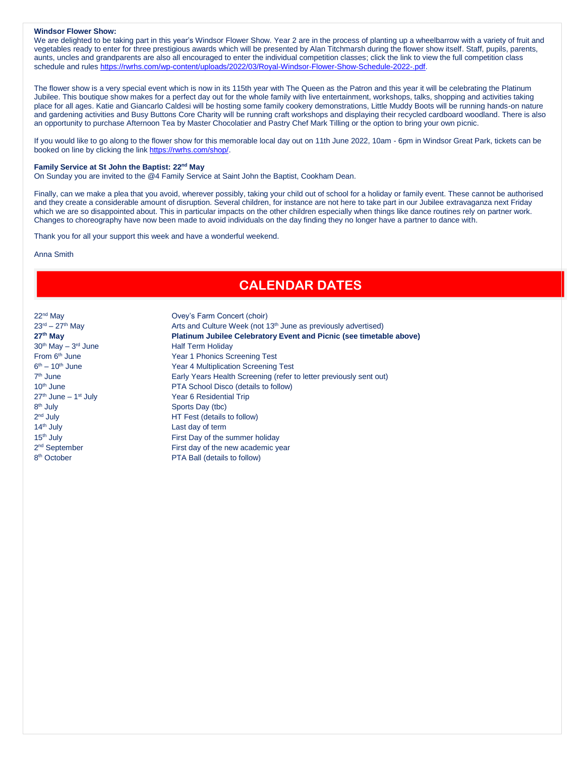## **Windsor Flower Show:**

We are delighted to be taking part in this year's Windsor Flower Show. Year 2 are in the process of planting up a wheelbarrow with a variety of fruit and vegetables ready to enter for three prestigious awards which will be presented by Alan Titchmarsh during the flower show itself. Staff, pupils, parents, aunts, uncles and grandparents are also all encouraged to enter the individual competition classes; click the link to view the full competition class schedule and rules [https://rwrhs.com/wp-content/uploads/2022/03/Royal-Windsor-Flower-Show-Schedule-2022-.pdf.](https://rwrhs.com/wp-content/uploads/2022/03/Royal-Windsor-Flower-Show-Schedule-2022-.pdf)

The flower show is a very special event which is now in its 115th year with The Queen as the Patron and this year it will be celebrating the Platinum Jubilee. This boutique show makes for a perfect day out for the whole family with live entertainment, workshops, talks, shopping and activities taking place for all ages. Katie and Giancarlo Caldesi will be hosting some family cookery demonstrations, Little Muddy Boots will be running hands-on nature and gardening activities and Busy Buttons Core Charity will be running craft workshops and displaying their recycled cardboard woodland. There is also an opportunity to purchase Afternoon Tea by Master Chocolatier and Pastry Chef Mark Tilling or the option to bring your own picnic.

If you would like to go along to the flower show for this memorable local day out on 11th June 2022, 10am - 6pm in Windsor Great Park, tickets can be booked on line by clicking the link [https://rwrhs.com/shop/.](https://rwrhs.com/shop/)

### **Family Service at St John the Baptist: 22nd May**

On Sunday you are invited to the @4 Family Service at Saint John the Baptist, Cookham Dean.

Finally, can we make a plea that you avoid, wherever possibly, taking your child out of school for a holiday or family event. These cannot be authorised and they create a considerable amount of disruption. Several children, for instance are not here to take part in our Jubilee extravaganza next Friday which we are so disappointed about. This in particular impacts on the other children especially when things like dance routines rely on partner work. Changes to choreography have now been made to avoid individuals on the day finding they no longer have a partner to dance with.

Thank you for all your support this week and have a wonderful weekend.

Anna Smith

## **CALENDAR DATES**

 $30<sup>th</sup>$  May  $-3<sup>rd</sup>$  June  $6<sup>th</sup> - 10<sup>th</sup>$  June 7<sup>th</sup> June  $27<sup>th</sup>$  June – 1<sup>st</sup> July 8<sup>th</sup> July 2<sup>nd</sup> July 14<sup>th</sup> July **Last day of term** 2<sup>nd</sup> September 8<sup>th</sup> October

22<sup>nd</sup> May **Ovey's Farm Concert (choir)**  $23<sup>rd</sup> - 27<sup>th</sup>$  May  $\qquad \qquad$  Arts and Culture Week (not 13<sup>th</sup> June as previously advertised) **27th May Platinum Jubilee Celebratory Event and Picnic (see timetable above)** Half Term Holiday From 6<sup>th</sup> June Year 1 Phonics Screening Test Year 4 Multiplication Screening Test Early Years Health Screening (refer to letter previously sent out) 10<sup>th</sup> June **PTA School Disco (details to follow)** Year 6 Residential Trip Sports Day (tbc) HT Fest (details to follow) 15<sup>th</sup> July **First Day of the summer holiday** First day of the new academic year PTA Ball (details to follow)